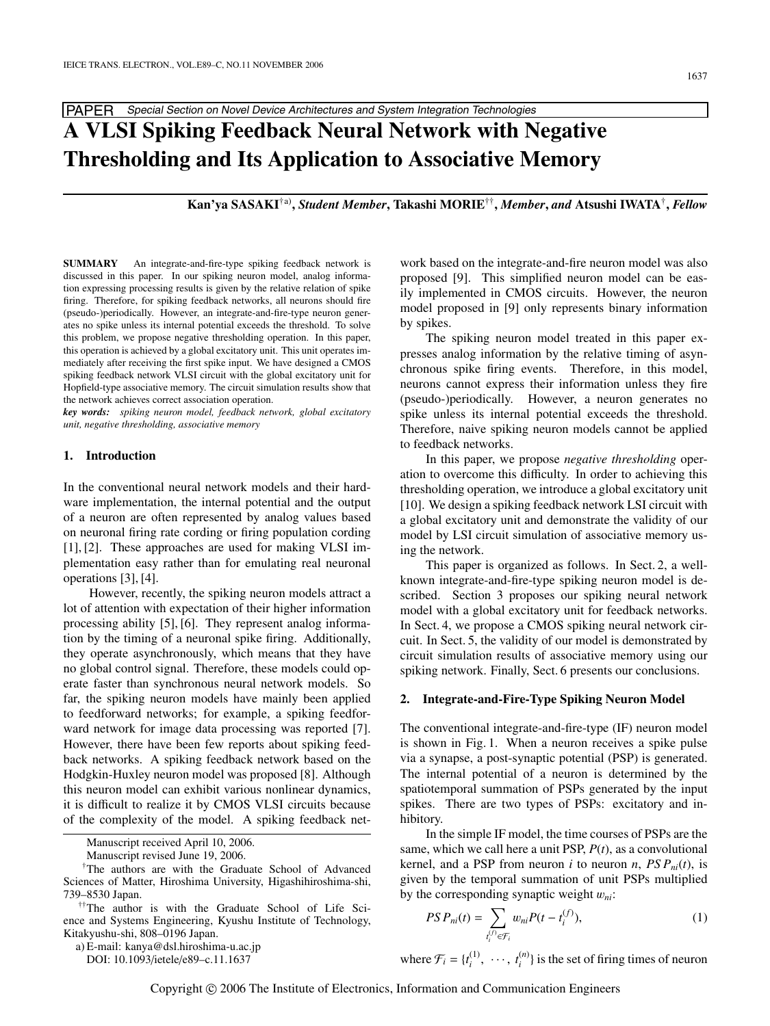PAPER Special Section on Novel Device Architectures and System Integration Technologies

# **A VLSI Spiking Feedback Neural Network with Negative Thresholding and Its Application to Associative Memory**

**Kan'ya SASAKI**†a)**,** *Student Member***, Takashi MORIE**††**,** *Member***,** *and* **Atsushi IWATA**†**,** *Fellow*

**SUMMARY** An integrate-and-fire-type spiking feedback network is discussed in this paper. In our spiking neuron model, analog information expressing processing results is given by the relative relation of spike firing. Therefore, for spiking feedback networks, all neurons should fire (pseudo-)periodically. However, an integrate-and-fire-type neuron generates no spike unless its internal potential exceeds the threshold. To solve this problem, we propose negative thresholding operation. In this paper, this operation is achieved by a global excitatory unit. This unit operates immediately after receiving the first spike input. We have designed a CMOS spiking feedback network VLSI circuit with the global excitatory unit for Hopfield-type associative memory. The circuit simulation results show that the network achieves correct association operation.

*key words: spiking neuron model, feedback network, global excitatory unit, negative thresholding, associative memory*

## **1. Introduction**

In the conventional neural network models and their hardware implementation, the internal potential and the output of a neuron are often represented by analog values based on neuronal firing rate cording or firing population cording [1], [2]. These approaches are used for making VLSI implementation easy rather than for emulating real neuronal operations [3], [4].

However, recently, the spiking neuron models attract a lot of attention with expectation of their higher information processing ability [5], [6]. They represent analog information by the timing of a neuronal spike firing. Additionally, they operate asynchronously, which means that they have no global control signal. Therefore, these models could operate faster than synchronous neural network models. So far, the spiking neuron models have mainly been applied to feedforward networks; for example, a spiking feedforward network for image data processing was reported [7]. However, there have been few reports about spiking feedback networks. A spiking feedback network based on the Hodgkin-Huxley neuron model was proposed [8]. Although this neuron model can exhibit various nonlinear dynamics, it is difficult to realize it by CMOS VLSI circuits because of the complexity of the model. A spiking feedback net-

Manuscript received April 10, 2006.

a) E-mail: kanya@dsl.hiroshima-u.ac.jp

DOI: 10.1093/ietele/e89–c.11.1637

work based on the integrate-and-fire neuron model was also proposed [9]. This simplified neuron model can be easily implemented in CMOS circuits. However, the neuron model proposed in [9] only represents binary information by spikes.

The spiking neuron model treated in this paper expresses analog information by the relative timing of asynchronous spike firing events. Therefore, in this model, neurons cannot express their information unless they fire (pseudo-)periodically. However, a neuron generates no spike unless its internal potential exceeds the threshold. Therefore, naive spiking neuron models cannot be applied to feedback networks.

In this paper, we propose *negative thresholding* operation to overcome this difficulty. In order to achieving this thresholding operation, we introduce a global excitatory unit [10]. We design a spiking feedback network LSI circuit with a global excitatory unit and demonstrate the validity of our model by LSI circuit simulation of associative memory using the network.

This paper is organized as follows. In Sect. 2, a wellknown integrate-and-fire-type spiking neuron model is described. Section 3 proposes our spiking neural network model with a global excitatory unit for feedback networks. In Sect. 4, we propose a CMOS spiking neural network circuit. In Sect. 5, the validity of our model is demonstrated by circuit simulation results of associative memory using our spiking network. Finally, Sect. 6 presents our conclusions.

#### **2. Integrate-and-Fire-Type Spiking Neuron Model**

The conventional integrate-and-fire-type (IF) neuron model is shown in Fig. 1. When a neuron receives a spike pulse via a synapse, a post-synaptic potential (PSP) is generated. The internal potential of a neuron is determined by the spatiotemporal summation of PSPs generated by the input spikes. There are two types of PSPs: excitatory and inhibitory.

In the simple IF model, the time courses of PSPs are the same, which we call here a unit PSP, *P*(*t*), as a convolutional kernel, and a PSP from neuron *i* to neuron *n*,  $PSP_{ni}(t)$ , is given by the temporal summation of unit PSPs multiplied by the corresponding synaptic weight w*ni*:

$$
PS\,P_{ni}(t) = \sum_{t_i^{(f)} \in \mathcal{F}_i} w_{ni} P(t - t_i^{(f)}),\tag{1}
$$

where  $\mathcal{F}_i = \{t_i^{(1)}, \dots, t_i^{(n)}\}$  is the set of firing times of neuron

Manuscript revised June 19, 2006.

<sup>†</sup>The authors are with the Graduate School of Advanced Sciences of Matter, Hiroshima University, Higashihiroshima-shi, 739–8530 Japan.

<sup>††</sup>The author is with the Graduate School of Life Science and Systems Engineering, Kyushu Institute of Technology, Kitakyushu-shi, 808–0196 Japan.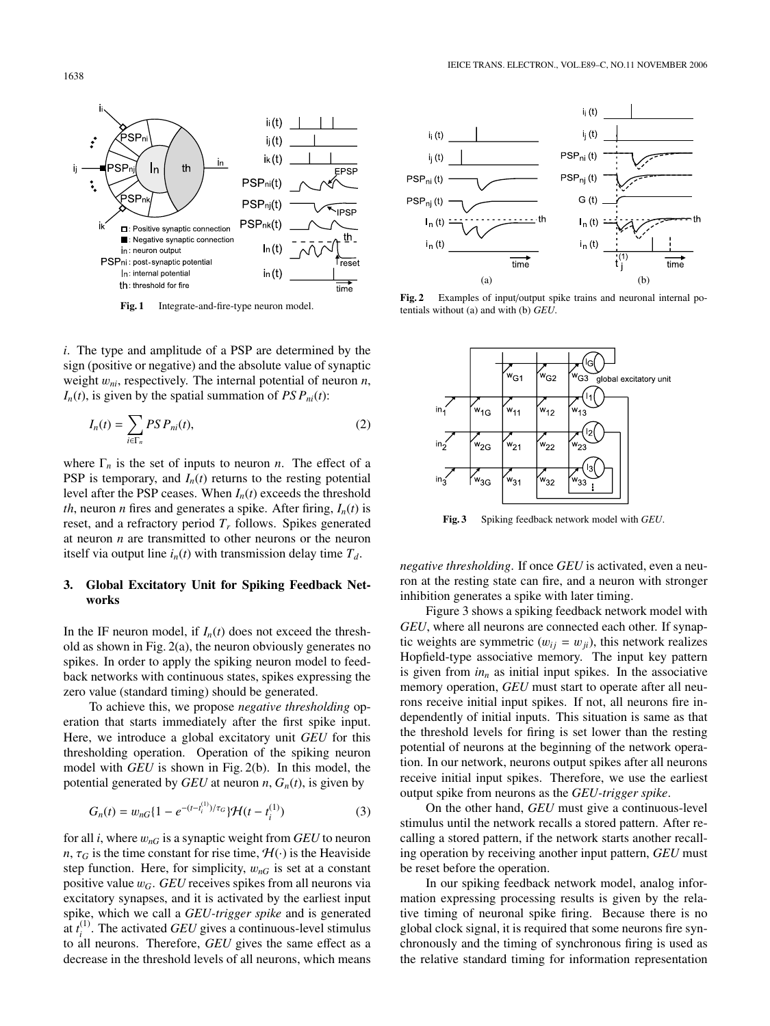

**Fig. 1** Integrate-and-fire-type neuron model.

*i*. The type and amplitude of a PSP are determined by the sign (positive or negative) and the absolute value of synaptic weight w*ni*, respectively. The internal potential of neuron *n*,  $I_n(t)$ , is given by the spatial summation of *PS P<sub>ni</sub>*(*t*):

$$
I_n(t) = \sum_{i \in \Gamma_n} PSP_{ni}(t),\tag{2}
$$

where  $\Gamma_n$  is the set of inputs to neuron *n*. The effect of a PSP is temporary, and  $I_n(t)$  returns to the resting potential level after the PSP ceases. When *In*(*t*) exceeds the threshold *th*, neuron *n* fires and generates a spike. After firing,  $I_n(t)$  is reset, and a refractory period  $T_r$  follows. Spikes generated at neuron *n* are transmitted to other neurons or the neuron itself via output line  $i_n(t)$  with transmission delay time  $T_d$ .

# **3. Global Excitatory Unit for Spiking Feedback Networks**

In the IF neuron model, if  $I_n(t)$  does not exceed the threshold as shown in Fig. 2(a), the neuron obviously generates no spikes. In order to apply the spiking neuron model to feedback networks with continuous states, spikes expressing the zero value (standard timing) should be generated.

To achieve this, we propose *negative thresholding* operation that starts immediately after the first spike input. Here, we introduce a global excitatory unit *GEU* for this thresholding operation. Operation of the spiking neuron model with *GEU* is shown in Fig. 2(b). In this model, the potential generated by *GEU* at neuron *n*,  $G_n(t)$ , is given by

$$
G_n(t) = w_{nG}\{1 - e^{-(t - t_i^{(1)})/\tau_G}\}\mathcal{H}(t - t_i^{(1)})
$$
\n(3)

for all *i*, where w*nG* is a synaptic weight from *GEU* to neuron *n*,  $\tau_G$  is the time constant for rise time,  $\mathcal{H}(\cdot)$  is the Heaviside step function. Here, for simplicity,  $w_{nG}$  is set at a constant positive value w*G*. *GEU* receives spikes from all neurons via excitatory synapses, and it is activated by the earliest input spike, which we call a *GEU-trigger spike* and is generated at  $t_i^{(1)}$ . The activated *GEU* gives a continuous-level stimulus to all neurons. Therefore, *GEU* gives the same effect as a decrease in the threshold levels of all neurons, which means



**Fig. 2** Examples of input/output spike trains and neuronal internal potentials without (a) and with (b) *GEU*.



**Fig. 3** Spiking feedback network model with *GEU*.

*negative thresholding*. If once *GEU* is activated, even a neuron at the resting state can fire, and a neuron with stronger inhibition generates a spike with later timing.

Figure 3 shows a spiking feedback network model with *GEU*, where all neurons are connected each other. If synaptic weights are symmetric  $(w_{ij} = w_{ji})$ , this network realizes Hopfield-type associative memory. The input key pattern is given from  $in_n$  as initial input spikes. In the associative memory operation, *GEU* must start to operate after all neurons receive initial input spikes. If not, all neurons fire independently of initial inputs. This situation is same as that the threshold levels for firing is set lower than the resting potential of neurons at the beginning of the network operation. In our network, neurons output spikes after all neurons receive initial input spikes. Therefore, we use the earliest output spike from neurons as the *GEU-trigger spike*.

On the other hand, *GEU* must give a continuous-level stimulus until the network recalls a stored pattern. After recalling a stored pattern, if the network starts another recalling operation by receiving another input pattern, *GEU* must be reset before the operation.

In our spiking feedback network model, analog information expressing processing results is given by the relative timing of neuronal spike firing. Because there is no global clock signal, it is required that some neurons fire synchronously and the timing of synchronous firing is used as the relative standard timing for information representation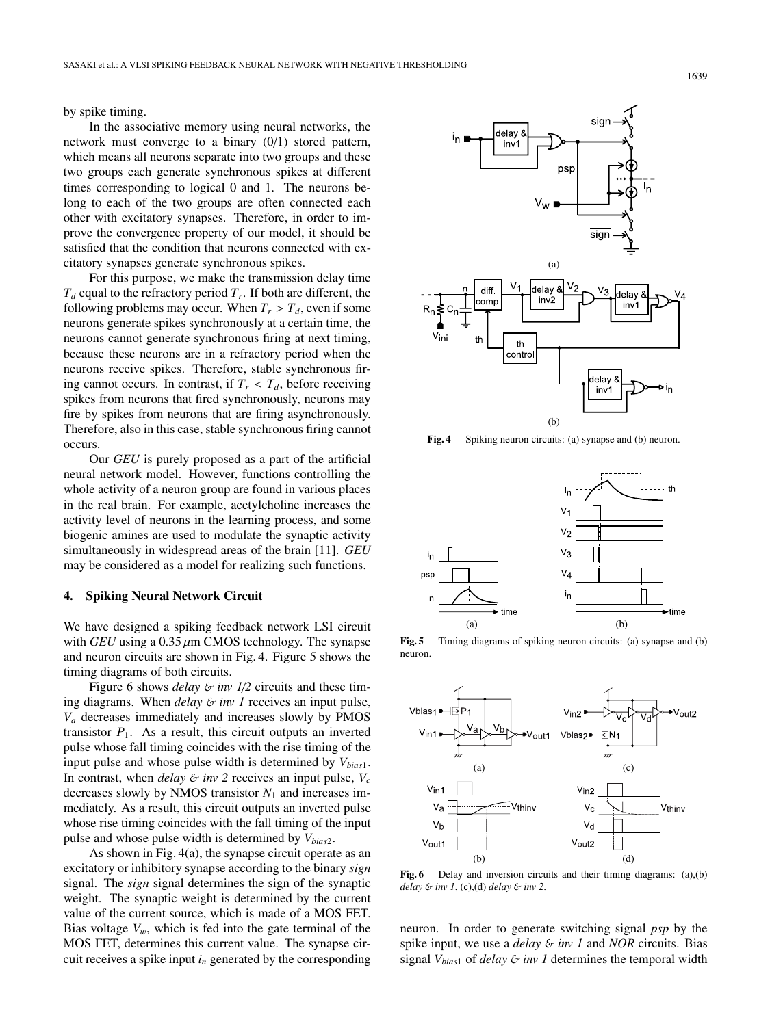by spike timing.

In the associative memory using neural networks, the network must converge to a binary (0/1) stored pattern, which means all neurons separate into two groups and these two groups each generate synchronous spikes at different times corresponding to logical 0 and 1. The neurons belong to each of the two groups are often connected each other with excitatory synapses. Therefore, in order to improve the convergence property of our model, it should be satisfied that the condition that neurons connected with excitatory synapses generate synchronous spikes.

For this purpose, we make the transmission delay time  $T_d$  equal to the refractory period  $T_r$ . If both are different, the following problems may occur. When  $T_r > T_d$ , even if some neurons generate spikes synchronously at a certain time, the neurons cannot generate synchronous firing at next timing, because these neurons are in a refractory period when the neurons receive spikes. Therefore, stable synchronous firing cannot occurs. In contrast, if  $T_r < T_d$ , before receiving spikes from neurons that fired synchronously, neurons may fire by spikes from neurons that are firing asynchronously. Therefore, also in this case, stable synchronous firing cannot occurs.

Our *GEU* is purely proposed as a part of the artificial neural network model. However, functions controlling the whole activity of a neuron group are found in various places in the real brain. For example, acetylcholine increases the activity level of neurons in the learning process, and some biogenic amines are used to modulate the synaptic activity simultaneously in widespread areas of the brain [11]. *GEU* may be considered as a model for realizing such functions.

## **4. Spiking Neural Network Circuit**

We have designed a spiking feedback network LSI circuit with *GEU* using a  $0.35 \mu$ m CMOS technology. The synapse and neuron circuits are shown in Fig. 4. Figure 5 shows the timing diagrams of both circuits.

Figure 6 shows *delay* & *inv* 1/2 circuits and these timing diagrams. When *delay* & *inv 1* receives an input pulse, *Va* decreases immediately and increases slowly by PMOS transistor  $P_1$ . As a result, this circuit outputs an inverted pulse whose fall timing coincides with the rise timing of the input pulse and whose pulse width is determined by *Vbias*1. In contrast, when *delay*  $\& inv \, 2$  receives an input pulse,  $V_c$ decreases slowly by NMOS transistor *N*<sup>1</sup> and increases immediately. As a result, this circuit outputs an inverted pulse whose rise timing coincides with the fall timing of the input pulse and whose pulse width is determined by  $V_{bias2}$ .

As shown in Fig. 4(a), the synapse circuit operate as an excitatory or inhibitory synapse according to the binary *sign* signal. The *sign* signal determines the sign of the synaptic weight. The synaptic weight is determined by the current value of the current source, which is made of a MOS FET. Bias voltage  $V_w$ , which is fed into the gate terminal of the MOS FET, determines this current value. The synapse circuit receives a spike input *in* generated by the corresponding



**Fig. 4** Spiking neuron circuits: (a) synapse and (b) neuron.



**Fig. 5** Timing diagrams of spiking neuron circuits: (a) synapse and (b) neuron.



**Fig. 6** Delay and inversion circuits and their timing diagrams: (a),(b) *delay* & *inv 1*, (c),(d) *delay* & *inv 2*.

neuron. In order to generate switching signal *psp* by the spike input, we use a *delay* & *inv 1* and *NOR* circuits. Bias signal *Vbias*<sup>1</sup> of *delay* & *inv 1* determines the temporal width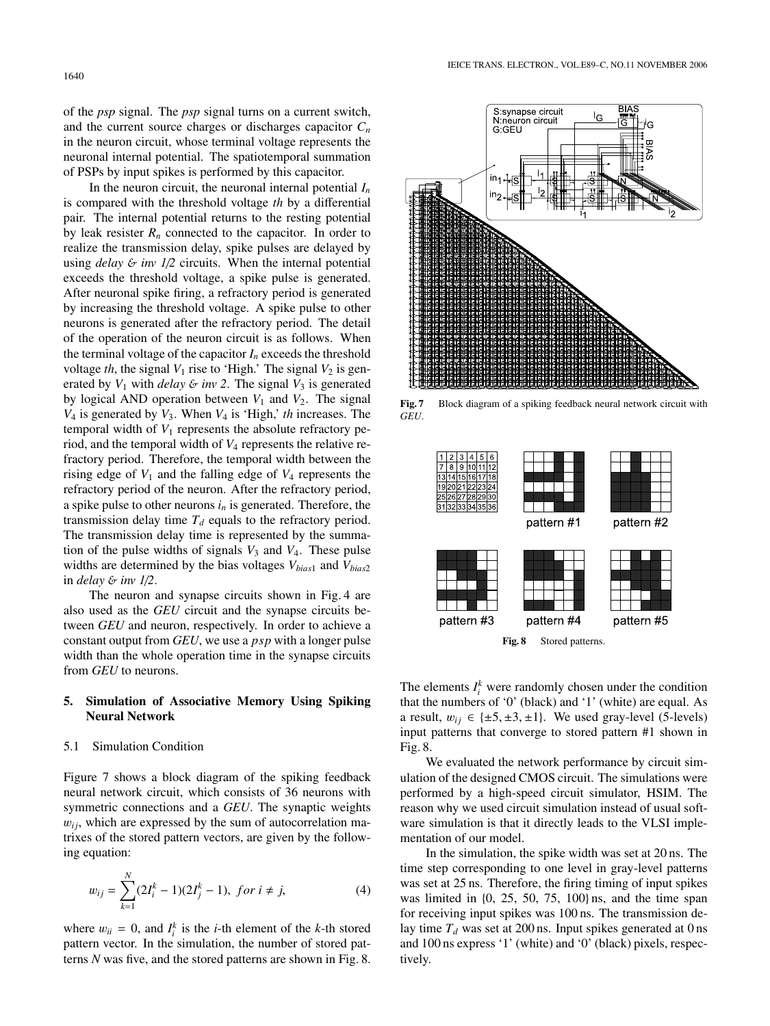of the *psp* signal. The *psp* signal turns on a current switch, and the current source charges or discharges capacitor *Cn* in the neuron circuit, whose terminal voltage represents the neuronal internal potential. The spatiotemporal summation of PSPs by input spikes is performed by this capacitor.

In the neuron circuit, the neuronal internal potential *In* is compared with the threshold voltage *th* by a differential pair. The internal potential returns to the resting potential by leak resister  $R_n$  connected to the capacitor. In order to realize the transmission delay, spike pulses are delayed by using  $delay \& inv 1/2$  circuits. When the internal potential exceeds the threshold voltage, a spike pulse is generated. After neuronal spike firing, a refractory period is generated by increasing the threshold voltage. A spike pulse to other neurons is generated after the refractory period. The detail of the operation of the neuron circuit is as follows. When the terminal voltage of the capacitor  $I_n$  exceeds the threshold voltage *th*, the signal  $V_1$  rise to 'High.' The signal  $V_2$  is generated by  $V_1$  with *delay* & *inv* 2. The signal  $V_3$  is generated by logical AND operation between  $V_1$  and  $V_2$ . The signal  $V_4$  is generated by  $V_3$ . When  $V_4$  is 'High,' *th* increases. The temporal width of  $V_1$  represents the absolute refractory period, and the temporal width of *V*<sup>4</sup> represents the relative refractory period. Therefore, the temporal width between the rising edge of  $V_1$  and the falling edge of  $V_4$  represents the refractory period of the neuron. After the refractory period, a spike pulse to other neurons  $i_n$  is generated. Therefore, the transmission delay time  $T_d$  equals to the refractory period. The transmission delay time is represented by the summation of the pulse widths of signals  $V_3$  and  $V_4$ . These pulse widths are determined by the bias voltages *Vbias*<sup>1</sup> and *Vbias*<sup>2</sup> in *delay* & *inv 1*/*2*.

The neuron and synapse circuits shown in Fig. 4 are also used as the *GEU* circuit and the synapse circuits between *GEU* and neuron, respectively. In order to achieve a constant output from *GEU*, we use a *psp* with a longer pulse width than the whole operation time in the synapse circuits from *GEU* to neurons.

# **5. Simulation of Associative Memory Using Spiking Neural Network**

# 5.1 Simulation Condition

Figure 7 shows a block diagram of the spiking feedback neural network circuit, which consists of 36 neurons with symmetric connections and a *GEU*. The synaptic weights  $w_{ij}$ , which are expressed by the sum of autocorrelation matrixes of the stored pattern vectors, are given by the following equation:

$$
w_{ij} = \sum_{k=1}^{N} (2I_i^k - 1)(2I_j^k - 1), \text{ for } i \neq j,
$$
 (4)

where  $w_{ii} = 0$ , and  $I_i^k$  is the *i*-th element of the *k*-th stored pattern vector. In the simulation, the number of stored patterns *N* was five, and the stored patterns are shown in Fig. 8.



**Fig. 7** Block diagram of a spiking feedback neural network circuit with *GEU*.



The elements  $I_i^k$  were randomly chosen under the condition that the numbers of '0' (black) and '1' (white) are equal. As a result,  $w_{ij} \in \{\pm 5, \pm 3, \pm 1\}$ . We used gray-level (5-levels) input patterns that converge to stored pattern #1 shown in Fig. 8.

We evaluated the network performance by circuit simulation of the designed CMOS circuit. The simulations were performed by a high-speed circuit simulator, HSIM. The reason why we used circuit simulation instead of usual software simulation is that it directly leads to the VLSI implementation of our model.

In the simulation, the spike width was set at 20 ns. The time step corresponding to one level in gray-level patterns was set at 25 ns. Therefore, the firing timing of input spikes was limited in  $\{0, 25, 50, 75, 100\}$  ns, and the time span for receiving input spikes was 100 ns. The transmission delay time  $T_d$  was set at 200 ns. Input spikes generated at 0 ns and 100 ns express '1' (white) and '0' (black) pixels, respectively.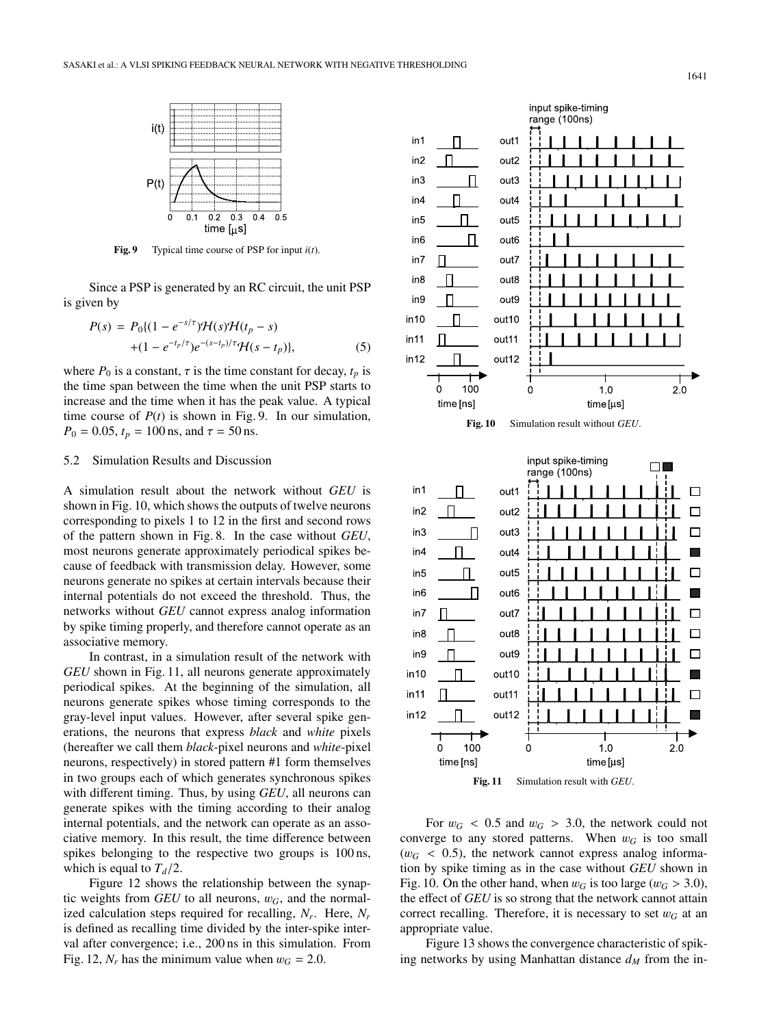

**Fig. 9** Typical time course of PSP for input *i*(*t*).

Since a PSP is generated by an RC circuit, the unit PSP is given by

$$
P(s) = P_0 \{ (1 - e^{-s/\tau}) \mathcal{H}(s) \mathcal{H}(t_p - s) + (1 - e^{-t_p/\tau}) e^{-(s-t_p)/\tau} \mathcal{H}(s - t_p) \},
$$
(5)

where  $P_0$  is a constant,  $\tau$  is the time constant for decay,  $t_p$  is the time span between the time when the unit PSP starts to increase and the time when it has the peak value. A typical time course of  $P(t)$  is shown in Fig. 9. In our simulation,  $P_0 = 0.05$ ,  $t_p = 100$  ns, and  $\tau = 50$  ns.

# 5.2 Simulation Results and Discussion

A simulation result about the network without *GEU* is shown in Fig. 10, which shows the outputs of twelve neurons corresponding to pixels 1 to 12 in the first and second rows of the pattern shown in Fig. 8. In the case without *GEU*, most neurons generate approximately periodical spikes because of feedback with transmission delay. However, some neurons generate no spikes at certain intervals because their internal potentials do not exceed the threshold. Thus, the networks without *GEU* cannot express analog information by spike timing properly, and therefore cannot operate as an associative memory.

In contrast, in a simulation result of the network with *GEU* shown in Fig. 11, all neurons generate approximately periodical spikes. At the beginning of the simulation, all neurons generate spikes whose timing corresponds to the gray-level input values. However, after several spike generations, the neurons that express *black* and *white* pixels (hereafter we call them *black*-pixel neurons and *white*-pixel neurons, respectively) in stored pattern #1 form themselves in two groups each of which generates synchronous spikes with different timing. Thus, by using *GEU*, all neurons can generate spikes with the timing according to their analog internal potentials, and the network can operate as an associative memory. In this result, the time difference between spikes belonging to the respective two groups is 100 ns, which is equal to  $T_d/2$ .

Figure 12 shows the relationship between the synaptic weights from *GEU* to all neurons,  $w_G$ , and the normalized calculation steps required for recalling, *Nr*. Here, *Nr* is defined as recalling time divided by the inter-spike interval after convergence; i.e., 200 ns in this simulation. From Fig. 12,  $N_r$  has the minimum value when  $w_G = 2.0$ .



**Fig. 10** Simulation result without *GEU*.



**Fig. 11** Simulation result with *GEU*.

For  $w_G$  < 0.5 and  $w_G$  > 3.0, the network could not converge to any stored patterns. When  $w_G$  is too small  $(w_G < 0.5)$ , the network cannot express analog information by spike timing as in the case without *GEU* shown in Fig. 10. On the other hand, when  $w_G$  is too large ( $w_G > 3.0$ ), the effect of *GEU* is so strong that the network cannot attain correct recalling. Therefore, it is necessary to set  $w_G$  at an appropriate value.

Figure 13 shows the convergence characteristic of spiking networks by using Manhattan distance  $d_M$  from the in-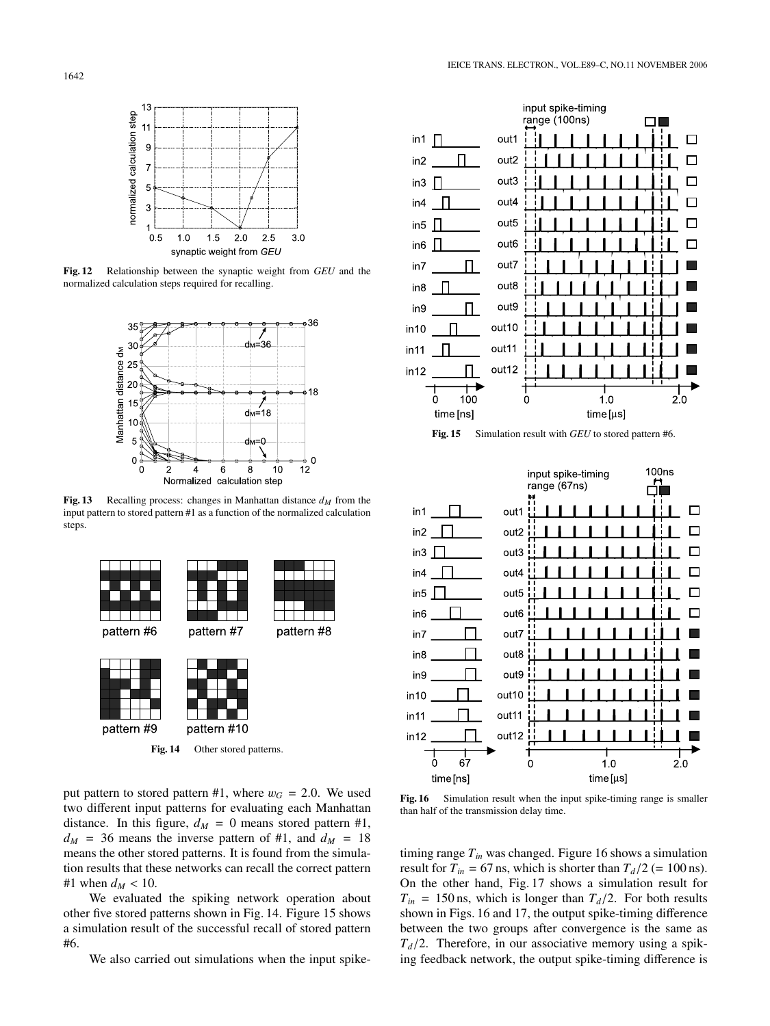





**Fig. 13** Recalling process: changes in Manhattan distance  $d_M$  from the input pattern to stored pattern #1 as a function of the normalized calculation steps.





**Fig. 15** Simulation result with *GEU* to stored pattern #6.



put pattern to stored pattern #1, where  $w_G = 2.0$ . We used two different input patterns for evaluating each Manhattan distance. In this figure,  $d_M = 0$  means stored pattern #1,  $d_M$  = 36 means the inverse pattern of #1, and  $d_M$  = 18 means the other stored patterns. It is found from the simulation results that these networks can recall the correct pattern #1 when  $d_{M}$  < 10.

We evaluated the spiking network operation about other five stored patterns shown in Fig. 14. Figure 15 shows a simulation result of the successful recall of stored pattern #6.

We also carried out simulations when the input spike-

**Fig. 16** Simulation result when the input spike-timing range is smaller than half of the transmission delay time.

timing range  $T_{in}$  was changed. Figure 16 shows a simulation result for  $T_{in} = 67$  ns, which is shorter than  $T_d/2$  (= 100 ns). On the other hand, Fig. 17 shows a simulation result for  $T_{in}$  = 150 ns, which is longer than  $T_d/2$ . For both results shown in Figs. 16 and 17, the output spike-timing difference between the two groups after convergence is the same as  $T_d/2$ . Therefore, in our associative memory using a spiking feedback network, the output spike-timing difference is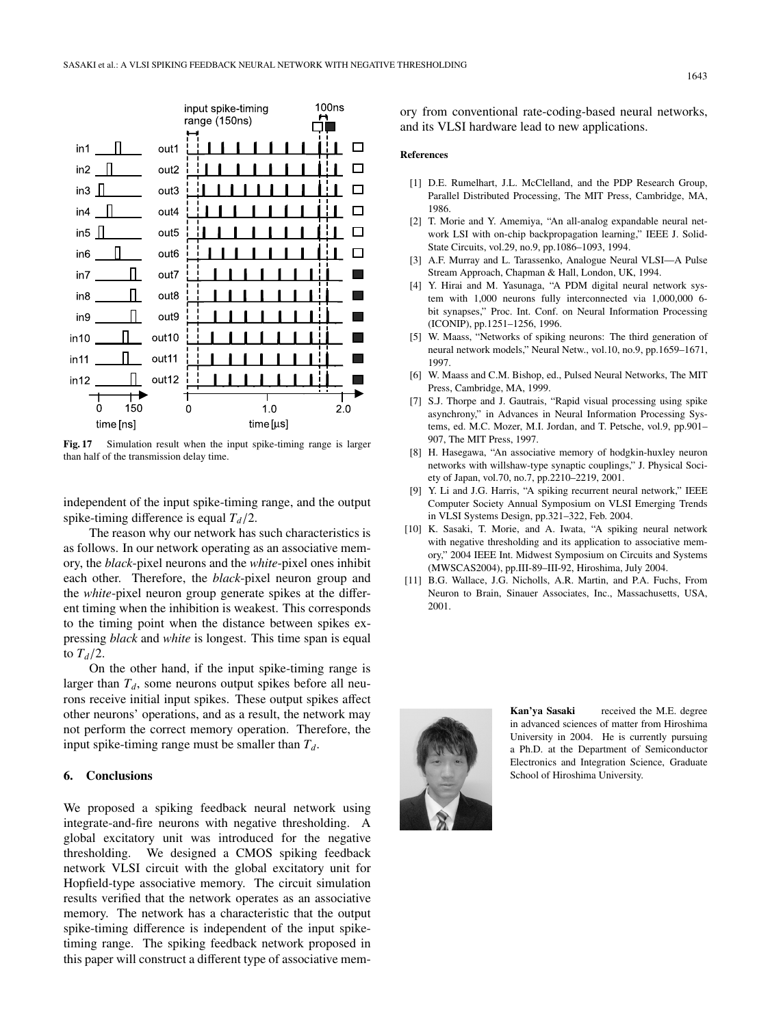

**Fig. 17** Simulation result when the input spike-timing range is larger than half of the transmission delay time.

independent of the input spike-timing range, and the output spike-timing difference is equal  $T_d/2$ .

The reason why our network has such characteristics is as follows. In our network operating as an associative memory, the *black*-pixel neurons and the *white*-pixel ones inhibit each other. Therefore, the *black*-pixel neuron group and the *white*-pixel neuron group generate spikes at the different timing when the inhibition is weakest. This corresponds to the timing point when the distance between spikes expressing *black* and *white* is longest. This time span is equal to  $T_d/2$ .

On the other hand, if the input spike-timing range is larger than  $T_d$ , some neurons output spikes before all neurons receive initial input spikes. These output spikes affect other neurons' operations, and as a result, the network may not perform the correct memory operation. Therefore, the input spike-timing range must be smaller than  $T_d$ .

#### **6. Conclusions**

We proposed a spiking feedback neural network using integrate-and-fire neurons with negative thresholding. A global excitatory unit was introduced for the negative thresholding. We designed a CMOS spiking feedback network VLSI circuit with the global excitatory unit for Hopfield-type associative memory. The circuit simulation results verified that the network operates as an associative memory. The network has a characteristic that the output spike-timing difference is independent of the input spiketiming range. The spiking feedback network proposed in this paper will construct a different type of associative memory from conventional rate-coding-based neural networks, and its VLSI hardware lead to new applications.

## **References**

- [1] D.E. Rumelhart, J.L. McClelland, and the PDP Research Group, Parallel Distributed Processing, The MIT Press, Cambridge, MA, 1986.
- [2] T. Morie and Y. Amemiya, "An all-analog expandable neural network LSI with on-chip backpropagation learning," IEEE J. Solid-State Circuits, vol.29, no.9, pp.1086–1093, 1994.
- [3] A.F. Murray and L. Tarassenko, Analogue Neural VLSI—A Pulse Stream Approach, Chapman & Hall, London, UK, 1994.
- [4] Y. Hirai and M. Yasunaga, "A PDM digital neural network system with 1,000 neurons fully interconnected via 1,000,000 6 bit synapses," Proc. Int. Conf. on Neural Information Processing (ICONIP), pp.1251–1256, 1996.
- [5] W. Maass, "Networks of spiking neurons: The third generation of neural network models," Neural Netw., vol.10, no.9, pp.1659–1671, 1997.
- [6] W. Maass and C.M. Bishop, ed., Pulsed Neural Networks, The MIT Press, Cambridge, MA, 1999.
- [7] S.J. Thorpe and J. Gautrais, "Rapid visual processing using spike asynchrony," in Advances in Neural Information Processing Systems, ed. M.C. Mozer, M.I. Jordan, and T. Petsche, vol.9, pp.901– 907, The MIT Press, 1997.
- [8] H. Hasegawa, "An associative memory of hodgkin-huxley neuron networks with willshaw-type synaptic couplings," J. Physical Society of Japan, vol.70, no.7, pp.2210–2219, 2001.
- [9] Y. Li and J.G. Harris, "A spiking recurrent neural network," IEEE Computer Society Annual Symposium on VLSI Emerging Trends in VLSI Systems Design, pp.321–322, Feb. 2004.
- [10] K. Sasaki, T. Morie, and A. Iwata, "A spiking neural network with negative thresholding and its application to associative memory," 2004 IEEE Int. Midwest Symposium on Circuits and Systems (MWSCAS2004), pp.III-89–III-92, Hiroshima, July 2004.
- [11] B.G. Wallace, J.G. Nicholls, A.R. Martin, and P.A. Fuchs, From Neuron to Brain, Sinauer Associates, Inc., Massachusetts, USA, 2001.



**Kan'ya Sasaki** received the M.E. degree in advanced sciences of matter from Hiroshima University in 2004. He is currently pursuing a Ph.D. at the Department of Semiconductor Electronics and Integration Science, Graduate School of Hiroshima University.